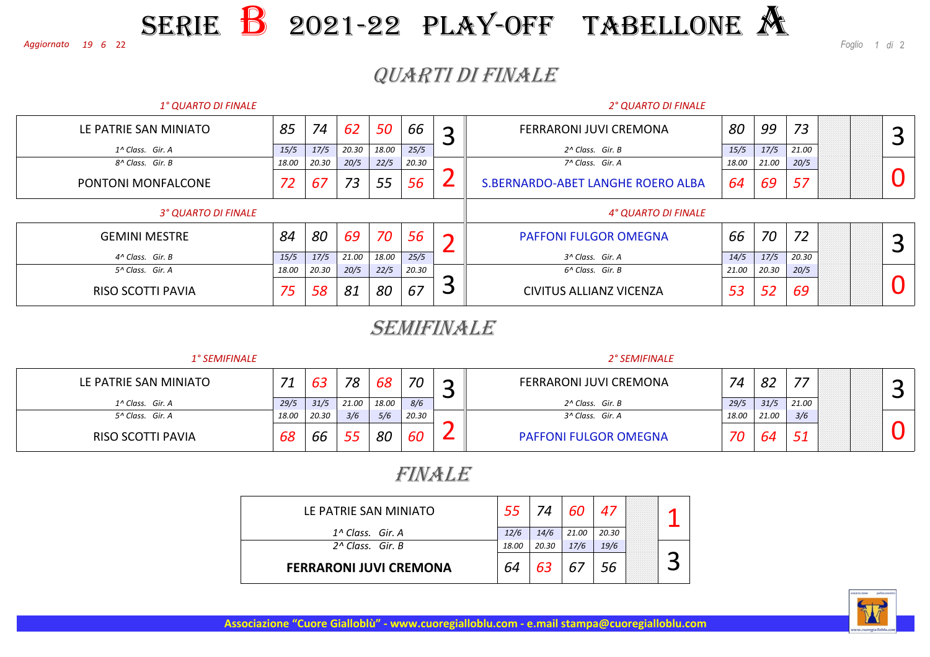#### <sup>22</sup> *<sup>1</sup> di* <sup>2</sup> SERIEE B 2021-22 PLAY-OFF TABELLONE A

*<sup>19</sup> <sup>6</sup>Aggiornato* 

*Foglio*

## QUARTI DI FINALE

| <b>1° QUARTO DI FINALE</b> |       |                |       |         |       |                               | <b>2° QUARTO DI FINALE</b>        |       |       |       |  |   |   |
|----------------------------|-------|----------------|-------|---------|-------|-------------------------------|-----------------------------------|-------|-------|-------|--|---|---|
| LE PATRIE SAN MINIATO      | 85    | 74<br>50<br>62 |       | 66<br>ာ |       | <b>FERRARONI JUVI CREMONA</b> |                                   | 99    | 73    |       |  | ⌒ |   |
| 1^ Class. Gir. A           | 15/5  | 17/5           | 20.30 | 18.00   | 25/5  |                               | 2^ Class. Gir. B                  | 15/5  | 17/5  | 21.00 |  |   |   |
| 8^ Class. Gir. B           | 18.00 | 20.30          | 20/5  | 22/5    | 20.30 |                               | 7^ Class. Gir. A                  | 18.00 | 21.00 | 20/5  |  |   |   |
| PONTONI MONFALCONE         | 72    | 67             | 73    | 55      | 56    |                               | S.BERNARDO-ABET LANGHE ROERO ALBA | 64    | 69    | 57    |  |   |   |
| 3° QUARTO DI FINALE        |       |                |       |         |       |                               | 4° QUARTO DI FINALE               |       |       |       |  |   |   |
| <b>GEMINI MESTRE</b>       | 84    | 80             | 69    | 70      | 56    |                               | <b>PAFFONI FULGOR OMEGNA</b>      | 66    | 70    | 72    |  |   | ⌒ |
| 4^ Class. Gir. B           | 15/5  | 17/5           | 21.00 | 18.00   | 25/5  |                               | 3^ Class. Gir. A                  | 14/5  | 17/5  | 20.30 |  |   |   |
| 5^ Class. Gir. A           | 18.00 | 20.30          | 20/5  | 22/5    | 20.30 |                               | 6^ Class. Gir. B                  | 21.00 | 20.30 | 20/5  |  |   |   |
| RISO SCOTTI PAVIA          | 75    | 58             | 81    | 80      | 67    | پ                             | CIVITUS ALLIANZ VICENZA           | 53    | 52    | 69    |  |   |   |

### SEMIFINALE

| <b>1° SEMIFINALE</b>  |       |       |       |       |       |   | 2° SEMIFINALE                |       |       |       |  |
|-----------------------|-------|-------|-------|-------|-------|---|------------------------------|-------|-------|-------|--|
| LE PATRIE SAN MINIATO | 71    | 63    | 78    | 68    | 70    | ∽ | FERRARONI JUVI CREMONA       | 74    | 82    |       |  |
| 1^ Class. Gir. A      | 29/5  | 31/5  | 21.00 | 18.00 | 8/6   |   | 2^ Class. Gir. B             | 29/5  | 31/5  | 21.00 |  |
| 5^ Class. Gir. A      | 18.00 | 20.30 | 3/6   | 5/6   | 20.30 |   | 3^ Class. Gir. A             | 18.00 | 21.00 | 3/6   |  |
| RISO SCOTTI PAVIA     | 68    | bb    |       | 80    | 60    |   | <b>PAFFONI FULGOR OMEGNA</b> | 70    | 64    | 51    |  |

## FINALE

| LE PATRIE SAN MINIATO         | 55    | 74    | 60    | 47    |  |
|-------------------------------|-------|-------|-------|-------|--|
| $1^{\wedge}$ Class. Gir. A    | 12/6  | 14/6  | 21.00 | 20.30 |  |
| $2^{\wedge}$ Class. Gir. B    | 18.00 | 20.30 | 17/6  | 19/6  |  |
| <b>FERRARONI JUVI CREMONA</b> | 64    | 63    | 67    | 56    |  |



**Associazione "Cuore Gialloblù" - www.cuoregialloblu.com - e.mail stampa@cuoregialloblu.com**